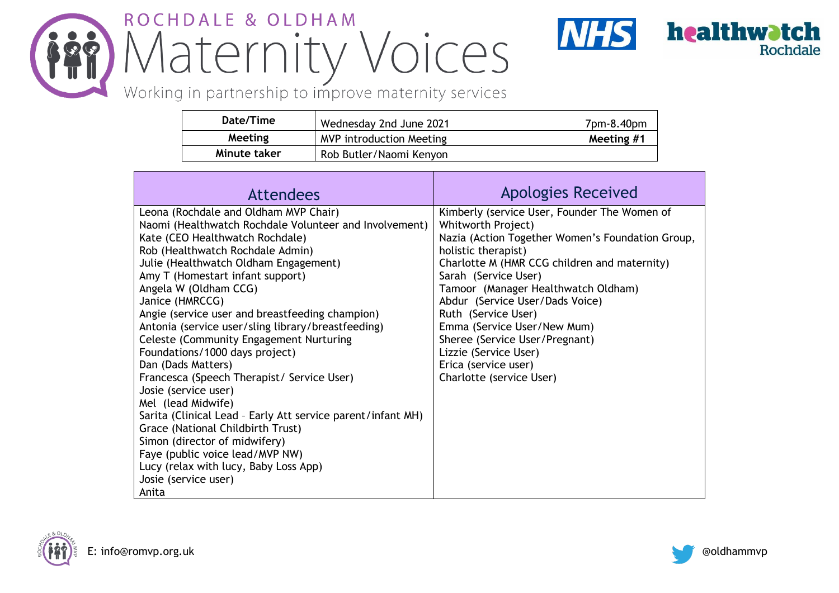## ROCHDALE & OLDHAM Maternity Voices



Working in partnership to improve maternity services

| Date/Time    | Wednesday 2nd June 2021         | 7pm-8.40pm |
|--------------|---------------------------------|------------|
| Meeting      | <b>MVP introduction Meeting</b> | Meeting #1 |
| Minute taker | Rob Butler/Naomi Kenyon         |            |

| <b>Attendees</b>                                                                                                                                                                                                                                                                                                                                                                                                                                                                                                                                                                                                                                                                                                                                                                                                                                                 | <b>Apologies Received</b>                                                                                                                                                                                                                                                                                                                                                                                                                                            |
|------------------------------------------------------------------------------------------------------------------------------------------------------------------------------------------------------------------------------------------------------------------------------------------------------------------------------------------------------------------------------------------------------------------------------------------------------------------------------------------------------------------------------------------------------------------------------------------------------------------------------------------------------------------------------------------------------------------------------------------------------------------------------------------------------------------------------------------------------------------|----------------------------------------------------------------------------------------------------------------------------------------------------------------------------------------------------------------------------------------------------------------------------------------------------------------------------------------------------------------------------------------------------------------------------------------------------------------------|
| Leona (Rochdale and Oldham MVP Chair)<br>Naomi (Healthwatch Rochdale Volunteer and Involvement)<br>Kate (CEO Healthwatch Rochdale)<br>Rob (Healthwatch Rochdale Admin)<br>Julie (Healthwatch Oldham Engagement)<br>Amy T (Homestart infant support)<br>Angela W (Oldham CCG)<br>Janice (HMRCCG)<br>Angie (service user and breastfeeding champion)<br>Antonia (service user/sling library/breastfeeding)<br><b>Celeste (Community Engagement Nurturing</b><br>Foundations/1000 days project)<br>Dan (Dads Matters)<br>Francesca (Speech Therapist/ Service User)<br>Josie (service user)<br>Mel (lead Midwife)<br>Sarita (Clinical Lead - Early Att service parent/infant MH)<br>Grace (National Childbirth Trust)<br>Simon (director of midwifery)<br>Faye (public voice lead/MVP NW)<br>Lucy (relax with lucy, Baby Loss App)<br>Josie (service user)<br>Anita | Kimberly (service User, Founder The Women of<br>Whitworth Project)<br>Nazia (Action Together Women's Foundation Group,<br>holistic therapist)<br>Charlotte M (HMR CCG children and maternity)<br>Sarah (Service User)<br>Tamoor (Manager Healthwatch Oldham)<br>Abdur (Service User/Dads Voice)<br>Ruth (Service User)<br>Emma (Service User/New Mum)<br>Sheree (Service User/Pregnant)<br>Lizzie (Service User)<br>Erica (service user)<br>Charlotte (service User) |



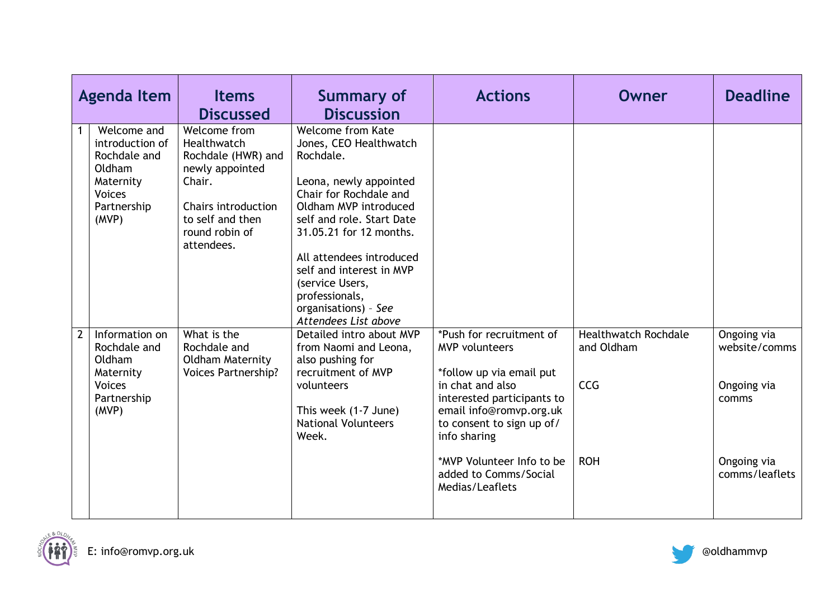|             | <b>Agenda Item</b>                                                                                             | <b>Items</b><br><b>Discussed</b>                                                                                                                          | <b>Summary of</b><br><b>Discussion</b>                                                                                                                                                                                                                                                                                                            | <b>Actions</b>                                                                                                                                                                                          | <b>Owner</b>                                            | <b>Deadline</b>                                      |
|-------------|----------------------------------------------------------------------------------------------------------------|-----------------------------------------------------------------------------------------------------------------------------------------------------------|---------------------------------------------------------------------------------------------------------------------------------------------------------------------------------------------------------------------------------------------------------------------------------------------------------------------------------------------------|---------------------------------------------------------------------------------------------------------------------------------------------------------------------------------------------------------|---------------------------------------------------------|------------------------------------------------------|
|             | Welcome and<br>introduction of<br>Rochdale and<br>Oldham<br>Maternity<br><b>Voices</b><br>Partnership<br>(MVP) | Welcome from<br>Healthwatch<br>Rochdale (HWR) and<br>newly appointed<br>Chair.<br>Chairs introduction<br>to self and then<br>round robin of<br>attendees. | <b>Welcome from Kate</b><br>Jones, CEO Healthwatch<br>Rochdale.<br>Leona, newly appointed<br>Chair for Rochdale and<br>Oldham MVP introduced<br>self and role. Start Date<br>31.05.21 for 12 months.<br>All attendees introduced<br>self and interest in MVP<br>(service Users,<br>professionals,<br>organisations) - See<br>Attendees List above |                                                                                                                                                                                                         |                                                         |                                                      |
| $2^{\circ}$ | Information on<br>Rochdale and<br>Oldham<br>Maternity<br><b>Voices</b><br>Partnership<br>(MVP)                 | What is the<br>Rochdale and<br><b>Oldham Maternity</b><br><b>Voices Partnership?</b>                                                                      | Detailed intro about MVP<br>from Naomi and Leona,<br>also pushing for<br>recruitment of MVP<br>volunteers<br>This week (1-7 June)<br><b>National Volunteers</b><br>Week.                                                                                                                                                                          | *Push for recruitment of<br><b>MVP</b> volunteers<br>*follow up via email put<br>in chat and also<br>interested participants to<br>email info@romvp.org.uk<br>to consent to sign up of/<br>info sharing | <b>Healthwatch Rochdale</b><br>and Oldham<br><b>CCG</b> | Ongoing via<br>website/comms<br>Ongoing via<br>comms |
|             |                                                                                                                |                                                                                                                                                           |                                                                                                                                                                                                                                                                                                                                                   | *MVP Volunteer Info to be<br>added to Comms/Social<br>Medias/Leaflets                                                                                                                                   | <b>ROH</b>                                              | Ongoing via<br>comms/leaflets                        |

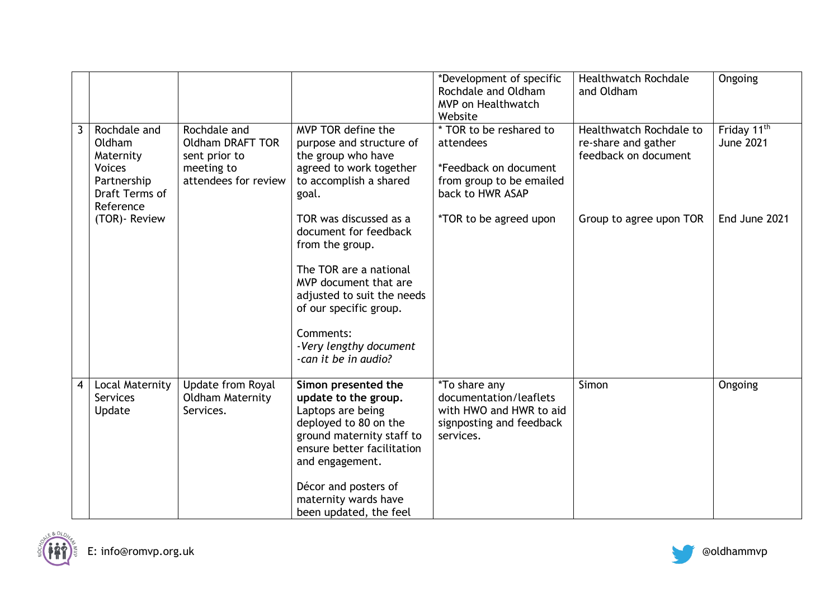|   |                                                                                                    |                                                                                                |                                                                                                                                                                                                                                                   | *Development of specific<br>Rochdale and Oldham<br><b>MVP</b> on Healthwatch<br>Website                             | <b>Healthwatch Rochdale</b><br>and Oldham                              | Ongoing                                     |
|---|----------------------------------------------------------------------------------------------------|------------------------------------------------------------------------------------------------|---------------------------------------------------------------------------------------------------------------------------------------------------------------------------------------------------------------------------------------------------|---------------------------------------------------------------------------------------------------------------------|------------------------------------------------------------------------|---------------------------------------------|
| 3 | Rochdale and<br>Oldham<br>Maternity<br><b>Voices</b><br>Partnership<br>Draft Terms of<br>Reference | Rochdale and<br><b>Oldham DRAFT TOR</b><br>sent prior to<br>meeting to<br>attendees for review | MVP TOR define the<br>purpose and structure of<br>the group who have<br>agreed to work together<br>to accomplish a shared<br>goal.                                                                                                                | * TOR to be reshared to<br>attendees<br>*Feedback on document<br>from group to be emailed<br>back to HWR ASAP       | Healthwatch Rochdale to<br>re-share and gather<br>feedback on document | Friday 11 <sup>th</sup><br><b>June 2021</b> |
|   | (TOR) - Review                                                                                     |                                                                                                | TOR was discussed as a<br>document for feedback<br>from the group.<br>The TOR are a national<br>MVP document that are<br>adjusted to suit the needs<br>of our specific group.<br>Comments:<br>-Very lengthy document<br>-can it be in audio?      | <i>*TOR to be agreed upon</i>                                                                                       | Group to agree upon TOR                                                | End June 2021                               |
| 4 | Local Maternity<br>Services<br>Update                                                              | Update from Royal<br><b>Oldham Maternity</b><br>Services.                                      | Simon presented the<br>update to the group.<br>Laptops are being<br>deployed to 80 on the<br>ground maternity staff to<br>ensure better facilitation<br>and engagement.<br>Décor and posters of<br>maternity wards have<br>been updated, the feel | <i>*</i> To share any<br>documentation/leaflets<br>with HWO and HWR to aid<br>signposting and feedback<br>services. | Simon                                                                  | Ongoing                                     |



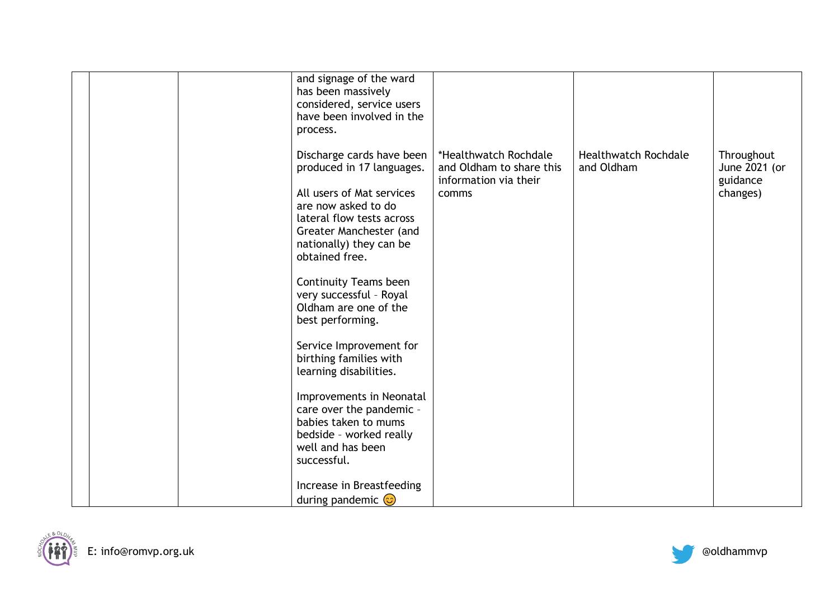|  | and signage of the ward<br>has been massively<br>considered, service users<br>have been involved in the<br>process.                                                                                                                                                                                                                                                                                                                                                                                                                                   |                                                                                     |                                           |                                                     |
|--|-------------------------------------------------------------------------------------------------------------------------------------------------------------------------------------------------------------------------------------------------------------------------------------------------------------------------------------------------------------------------------------------------------------------------------------------------------------------------------------------------------------------------------------------------------|-------------------------------------------------------------------------------------|-------------------------------------------|-----------------------------------------------------|
|  | Discharge cards have been<br>produced in 17 languages.<br>All users of Mat services<br>are now asked to do<br>lateral flow tests across<br>Greater Manchester (and<br>nationally) they can be<br>obtained free.<br><b>Continuity Teams been</b><br>very successful - Royal<br>Oldham are one of the<br>best performing.<br>Service Improvement for<br>birthing families with<br>learning disabilities.<br>Improvements in Neonatal<br>care over the pandemic -<br>babies taken to mums<br>bedside - worked really<br>well and has been<br>successful. | *Healthwatch Rochdale<br>and Oldham to share this<br>information via their<br>comms | <b>Healthwatch Rochdale</b><br>and Oldham | Throughout<br>June 2021 (or<br>guidance<br>changes) |
|  | Increase in Breastfeeding<br>during pandemic $\odot$                                                                                                                                                                                                                                                                                                                                                                                                                                                                                                  |                                                                                     |                                           |                                                     |



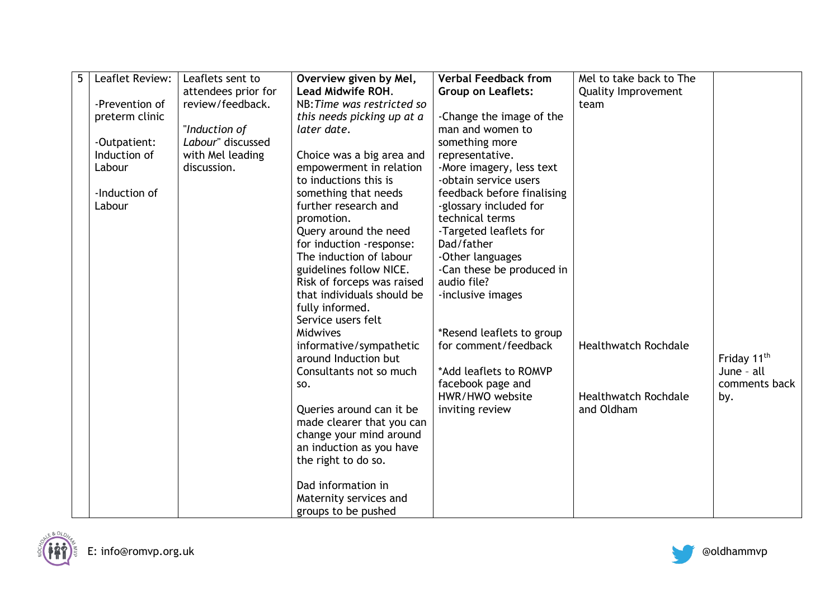| 5<br>Leaflet Review: | Leaflets sent to    | Overview given by Mel,     | <b>Verbal Feedback from</b> | Mel to take back to The     |                         |
|----------------------|---------------------|----------------------------|-----------------------------|-----------------------------|-------------------------|
|                      | attendees prior for | Lead Midwife ROH.          | <b>Group on Leaflets:</b>   | <b>Quality Improvement</b>  |                         |
| -Prevention of       | review/feedback.    | NB: Time was restricted so |                             | team                        |                         |
| preterm clinic       |                     | this needs picking up at a | -Change the image of the    |                             |                         |
|                      | "Induction of       | later date.                | man and women to            |                             |                         |
| -Outpatient:         | Labour" discussed   |                            | something more              |                             |                         |
| Induction of         | with Mel leading    | Choice was a big area and  | representative.             |                             |                         |
| Labour               | discussion.         | empowerment in relation    | -More imagery, less text    |                             |                         |
|                      |                     | to inductions this is      | -obtain service users       |                             |                         |
| -Induction of        |                     | something that needs       | feedback before finalising  |                             |                         |
| Labour               |                     | further research and       | -glossary included for      |                             |                         |
|                      |                     | promotion.                 | technical terms             |                             |                         |
|                      |                     | Query around the need      | -Targeted leaflets for      |                             |                         |
|                      |                     | for induction -response:   | Dad/father                  |                             |                         |
|                      |                     | The induction of labour    | -Other languages            |                             |                         |
|                      |                     | guidelines follow NICE.    | -Can these be produced in   |                             |                         |
|                      |                     | Risk of forceps was raised | audio file?                 |                             |                         |
|                      |                     | that individuals should be | -inclusive images           |                             |                         |
|                      |                     | fully informed.            |                             |                             |                         |
|                      |                     | Service users felt         |                             |                             |                         |
|                      |                     | Midwives                   | *Resend leaflets to group   |                             |                         |
|                      |                     | informative/sympathetic    | for comment/feedback        | <b>Healthwatch Rochdale</b> |                         |
|                      |                     | around Induction but       |                             |                             | Friday 11 <sup>th</sup> |
|                      |                     | Consultants not so much    | *Add leaflets to ROMVP      |                             | June - all              |
|                      |                     | SO.                        | facebook page and           |                             | comments back           |
|                      |                     |                            | HWR/HWO website             | <b>Healthwatch Rochdale</b> | by.                     |
|                      |                     | Queries around can it be   | inviting review             | and Oldham                  |                         |
|                      |                     | made clearer that you can  |                             |                             |                         |
|                      |                     | change your mind around    |                             |                             |                         |
|                      |                     | an induction as you have   |                             |                             |                         |
|                      |                     | the right to do so.        |                             |                             |                         |
|                      |                     | Dad information in         |                             |                             |                         |
|                      |                     | Maternity services and     |                             |                             |                         |
|                      |                     |                            |                             |                             |                         |



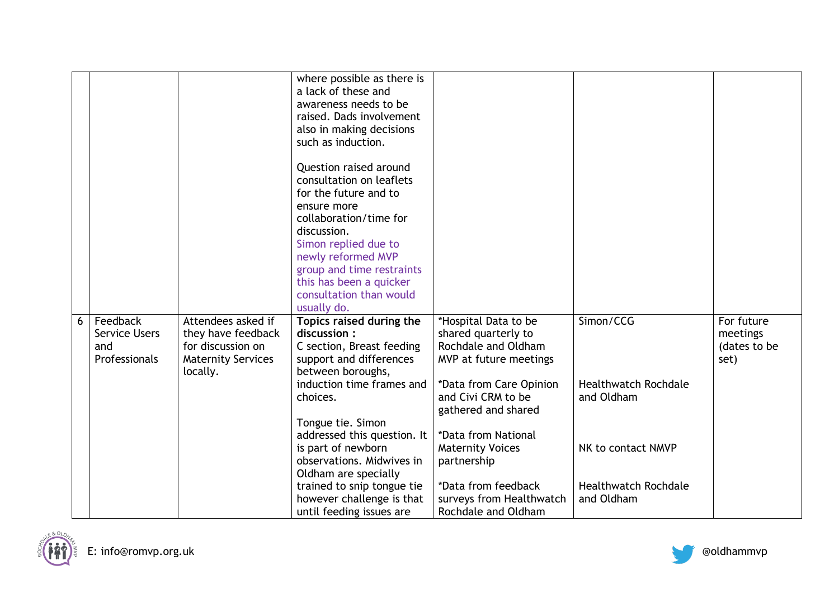|   |                      |                           | where possible as there is<br>a lack of these and<br>awareness needs to be<br>raised. Dads involvement<br>also in making decisions<br>such as induction.<br>Question raised around<br>consultation on leaflets<br>for the future and to<br>ensure more<br>collaboration/time for<br>discussion.<br>Simon replied due to<br>newly reformed MVP<br>group and time restraints<br>this has been a quicker |                          |                             |              |
|---|----------------------|---------------------------|-------------------------------------------------------------------------------------------------------------------------------------------------------------------------------------------------------------------------------------------------------------------------------------------------------------------------------------------------------------------------------------------------------|--------------------------|-----------------------------|--------------|
|   |                      |                           |                                                                                                                                                                                                                                                                                                                                                                                                       |                          |                             |              |
|   |                      |                           | consultation than would                                                                                                                                                                                                                                                                                                                                                                               |                          |                             |              |
|   |                      |                           | usually do.                                                                                                                                                                                                                                                                                                                                                                                           |                          |                             |              |
| 6 | Feedback             | Attendees asked if        | Topics raised during the                                                                                                                                                                                                                                                                                                                                                                              | *Hospital Data to be     | Simon/CCG                   | For future   |
|   | <b>Service Users</b> | they have feedback        | discussion:                                                                                                                                                                                                                                                                                                                                                                                           | shared quarterly to      |                             | meetings     |
|   | and                  | for discussion on         | C section, Breast feeding                                                                                                                                                                                                                                                                                                                                                                             | Rochdale and Oldham      |                             | (dates to be |
|   | Professionals        | <b>Maternity Services</b> | support and differences                                                                                                                                                                                                                                                                                                                                                                               | MVP at future meetings   |                             | set)         |
|   |                      | locally.                  | between boroughs,                                                                                                                                                                                                                                                                                                                                                                                     |                          |                             |              |
|   |                      |                           | induction time frames and                                                                                                                                                                                                                                                                                                                                                                             | *Data from Care Opinion  | <b>Healthwatch Rochdale</b> |              |
|   |                      |                           | choices.                                                                                                                                                                                                                                                                                                                                                                                              | and Civi CRM to be       | and Oldham                  |              |
|   |                      |                           |                                                                                                                                                                                                                                                                                                                                                                                                       | gathered and shared      |                             |              |
|   |                      |                           | Tongue tie. Simon                                                                                                                                                                                                                                                                                                                                                                                     |                          |                             |              |
|   |                      |                           | addressed this question. It                                                                                                                                                                                                                                                                                                                                                                           | *Data from National      |                             |              |
|   |                      |                           | is part of newborn                                                                                                                                                                                                                                                                                                                                                                                    | <b>Maternity Voices</b>  | NK to contact NMVP          |              |
|   |                      |                           | observations. Midwives in                                                                                                                                                                                                                                                                                                                                                                             | partnership              |                             |              |
|   |                      |                           | Oldham are specially                                                                                                                                                                                                                                                                                                                                                                                  |                          |                             |              |
|   |                      |                           | trained to snip tongue tie                                                                                                                                                                                                                                                                                                                                                                            | *Data from feedback      | <b>Healthwatch Rochdale</b> |              |
|   |                      |                           | however challenge is that                                                                                                                                                                                                                                                                                                                                                                             | surveys from Healthwatch | and Oldham                  |              |
|   |                      |                           | until feeding issues are                                                                                                                                                                                                                                                                                                                                                                              | Rochdale and Oldham      |                             |              |



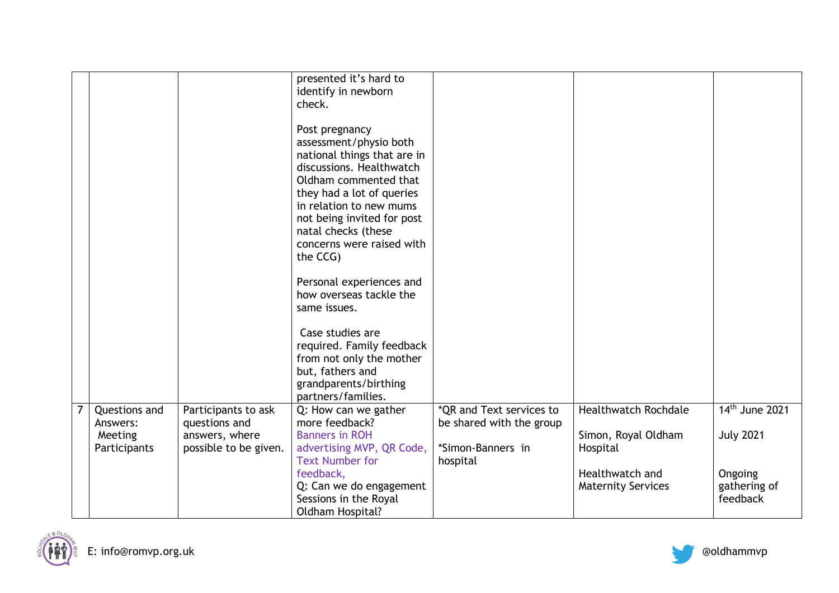|  |                           |                                      | presented it's hard to<br>identify in newborn<br>check. |                                                      |                             |                            |
|--|---------------------------|--------------------------------------|---------------------------------------------------------|------------------------------------------------------|-----------------------------|----------------------------|
|  |                           |                                      | Post pregnancy<br>assessment/physio both                |                                                      |                             |                            |
|  |                           |                                      | national things that are in                             |                                                      |                             |                            |
|  |                           |                                      | discussions. Healthwatch<br>Oldham commented that       |                                                      |                             |                            |
|  |                           |                                      | they had a lot of queries                               |                                                      |                             |                            |
|  |                           |                                      | in relation to new mums<br>not being invited for post   |                                                      |                             |                            |
|  |                           |                                      | natal checks (these                                     |                                                      |                             |                            |
|  |                           |                                      | concerns were raised with<br>the CCG)                   |                                                      |                             |                            |
|  |                           |                                      |                                                         |                                                      |                             |                            |
|  |                           |                                      | Personal experiences and<br>how overseas tackle the     |                                                      |                             |                            |
|  |                           |                                      | same issues.                                            |                                                      |                             |                            |
|  |                           |                                      | Case studies are                                        |                                                      |                             |                            |
|  |                           |                                      | required. Family feedback                               |                                                      |                             |                            |
|  |                           |                                      | from not only the mother                                |                                                      |                             |                            |
|  |                           |                                      | but, fathers and<br>grandparents/birthing               |                                                      |                             |                            |
|  |                           |                                      | partners/families.                                      |                                                      |                             |                            |
|  | Questions and<br>Answers: | Participants to ask<br>questions and | Q: How can we gather<br>more feedback?                  | *QR and Text services to<br>be shared with the group | <b>Healthwatch Rochdale</b> | 14 <sup>th</sup> June 2021 |
|  | Meeting                   | answers, where                       | <b>Banners in ROH</b>                                   |                                                      | Simon, Royal Oldham         | <b>July 2021</b>           |
|  | Participants              | possible to be given.                | advertising MVP, QR Code,<br><b>Text Number for</b>     | *Simon-Banners in<br>hospital                        | Hospital                    |                            |
|  |                           |                                      | feedback,                                               |                                                      | Healthwatch and             | Ongoing                    |
|  |                           |                                      | Q: Can we do engagement                                 |                                                      | <b>Maternity Services</b>   | gathering of               |
|  |                           |                                      | Sessions in the Royal<br>Oldham Hospital?               |                                                      |                             | feedback                   |

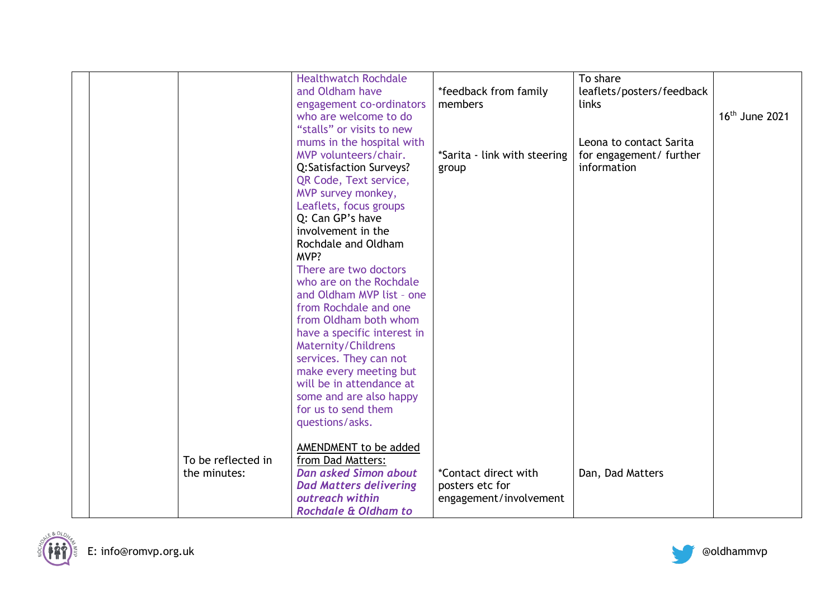|  |                    | <b>Healthwatch Rochdale</b>   |                              | To share                  |                            |
|--|--------------------|-------------------------------|------------------------------|---------------------------|----------------------------|
|  |                    | and Oldham have               | *feedback from family        | leaflets/posters/feedback |                            |
|  |                    | engagement co-ordinators      | members                      | links                     |                            |
|  |                    | who are welcome to do         |                              |                           | 16 <sup>th</sup> June 2021 |
|  |                    | "stalls" or visits to new     |                              |                           |                            |
|  |                    | mums in the hospital with     |                              | Leona to contact Sarita   |                            |
|  |                    | MVP volunteers/chair.         | *Sarita - link with steering | for engagement/ further   |                            |
|  |                    | Q:Satisfaction Surveys?       | group                        | information               |                            |
|  |                    | QR Code, Text service,        |                              |                           |                            |
|  |                    | MVP survey monkey,            |                              |                           |                            |
|  |                    | Leaflets, focus groups        |                              |                           |                            |
|  |                    | Q: Can GP's have              |                              |                           |                            |
|  |                    | involvement in the            |                              |                           |                            |
|  |                    | Rochdale and Oldham           |                              |                           |                            |
|  |                    | MVP?                          |                              |                           |                            |
|  |                    | There are two doctors         |                              |                           |                            |
|  |                    | who are on the Rochdale       |                              |                           |                            |
|  |                    | and Oldham MVP list - one     |                              |                           |                            |
|  |                    | from Rochdale and one         |                              |                           |                            |
|  |                    | from Oldham both whom         |                              |                           |                            |
|  |                    | have a specific interest in   |                              |                           |                            |
|  |                    | Maternity/Childrens           |                              |                           |                            |
|  |                    | services. They can not        |                              |                           |                            |
|  |                    | make every meeting but        |                              |                           |                            |
|  |                    | will be in attendance at      |                              |                           |                            |
|  |                    | some and are also happy       |                              |                           |                            |
|  |                    | for us to send them           |                              |                           |                            |
|  |                    | questions/asks.               |                              |                           |                            |
|  |                    |                               |                              |                           |                            |
|  |                    | AMENDMENT to be added         |                              |                           |                            |
|  | To be reflected in | from Dad Matters:             |                              |                           |                            |
|  | the minutes:       | <b>Dan asked Simon about</b>  | *Contact direct with         | Dan, Dad Matters          |                            |
|  |                    | <b>Dad Matters delivering</b> | posters etc for              |                           |                            |
|  |                    | outreach within               | engagement/involvement       |                           |                            |
|  |                    | Rochdale & Oldham to          |                              |                           |                            |
|  |                    |                               |                              |                           |                            |



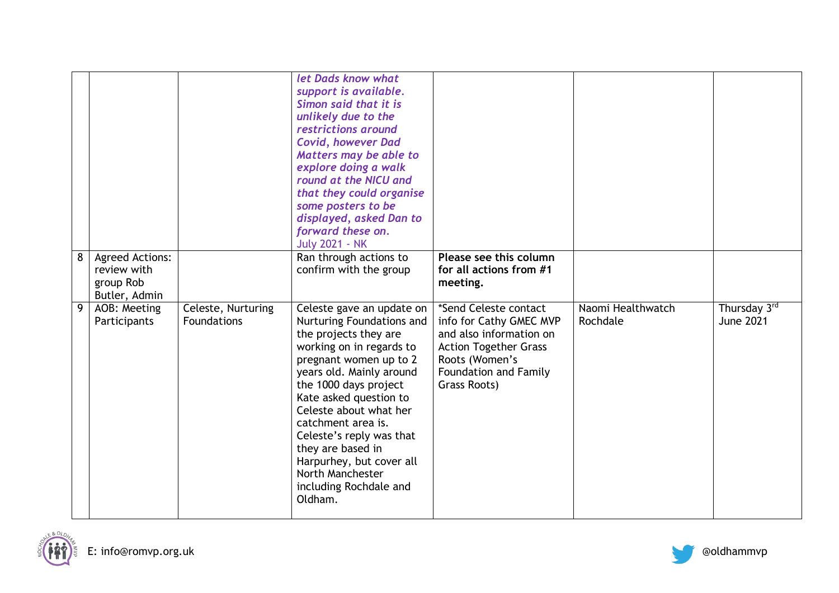|   |                                                                     |                                   | let Dads know what<br>support is available.<br>Simon said that it is<br>unlikely due to the<br>restrictions around<br><b>Covid, however Dad</b><br>Matters may be able to<br>explore doing a walk<br>round at the NICU and<br>that they could organise<br>some posters to be<br>displayed, asked Dan to<br>forward these on.<br><b>July 2021 - NK</b>                                                      |                                                                                                                                                                               |                               |                                  |
|---|---------------------------------------------------------------------|-----------------------------------|------------------------------------------------------------------------------------------------------------------------------------------------------------------------------------------------------------------------------------------------------------------------------------------------------------------------------------------------------------------------------------------------------------|-------------------------------------------------------------------------------------------------------------------------------------------------------------------------------|-------------------------------|----------------------------------|
| 8 | <b>Agreed Actions:</b><br>review with<br>group Rob<br>Butler, Admin |                                   | Ran through actions to<br>confirm with the group                                                                                                                                                                                                                                                                                                                                                           | Please see this column<br>for all actions from #1<br>meeting.                                                                                                                 |                               |                                  |
| 9 | AOB: Meeting<br>Participants                                        | Celeste, Nurturing<br>Foundations | Celeste gave an update on<br>Nurturing Foundations and<br>the projects they are<br>working on in regards to<br>pregnant women up to 2<br>years old. Mainly around<br>the 1000 days project<br>Kate asked question to<br>Celeste about what her<br>catchment area is.<br>Celeste's reply was that<br>they are based in<br>Harpurhey, but cover all<br>North Manchester<br>including Rochdale and<br>Oldham. | *Send Celeste contact<br>info for Cathy GMEC MVP<br>and also information on<br><b>Action Together Grass</b><br>Roots (Women's<br><b>Foundation and Family</b><br>Grass Roots) | Naomi Healthwatch<br>Rochdale | Thursday 3rd<br><b>June 2021</b> |



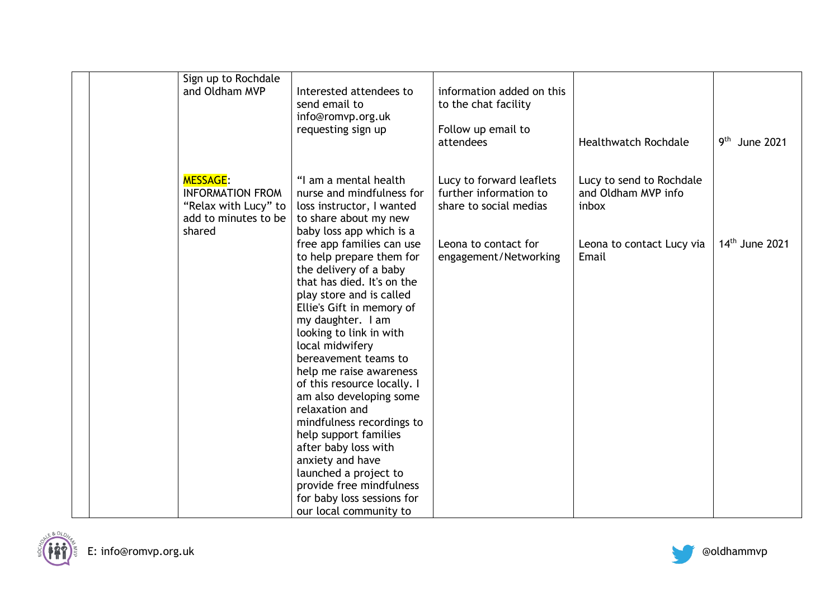| Sign up to Rochdale<br>and Oldham MVP                                                      | Interested attendees to<br>send email to<br>info@romvp.org.uk                                                                                                                                                                                                                                                                                                                                                                                                                                          | information added on this<br>to the chat facility                            |                                                          |                           |
|--------------------------------------------------------------------------------------------|--------------------------------------------------------------------------------------------------------------------------------------------------------------------------------------------------------------------------------------------------------------------------------------------------------------------------------------------------------------------------------------------------------------------------------------------------------------------------------------------------------|------------------------------------------------------------------------------|----------------------------------------------------------|---------------------------|
|                                                                                            | requesting sign up                                                                                                                                                                                                                                                                                                                                                                                                                                                                                     | Follow up email to<br>attendees                                              | <b>Healthwatch Rochdale</b>                              | 9 <sup>th</sup> June 2021 |
| <b>MESSAGE:</b><br><b>INFORMATION FROM</b><br>"Relax with Lucy" to<br>add to minutes to be | "I am a mental health<br>nurse and mindfulness for<br>loss instructor, I wanted<br>to share about my new                                                                                                                                                                                                                                                                                                                                                                                               | Lucy to forward leaflets<br>further information to<br>share to social medias | Lucy to send to Rochdale<br>and Oldham MVP info<br>inbox |                           |
| shared                                                                                     | baby loss app which is a<br>free app families can use<br>to help prepare them for<br>the delivery of a baby<br>that has died. It's on the<br>play store and is called<br>Ellie's Gift in memory of<br>my daughter. I am<br>looking to link in with<br>local midwifery<br>bereavement teams to<br>help me raise awareness<br>of this resource locally. I<br>am also developing some<br>relaxation and<br>mindfulness recordings to<br>help support families<br>after baby loss with<br>anxiety and have | Leona to contact for<br>engagement/Networking                                | Leona to contact Lucy via<br>Email                       | $14th$ June 2021          |
|                                                                                            | launched a project to<br>provide free mindfulness<br>for baby loss sessions for<br>our local community to                                                                                                                                                                                                                                                                                                                                                                                              |                                                                              |                                                          |                           |